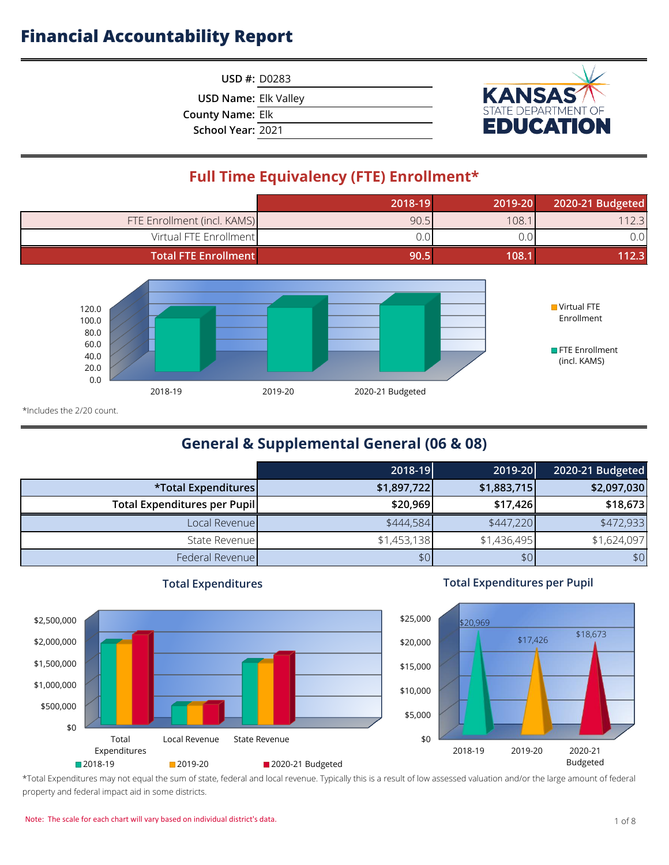**USD #:** D0283

**USD Name:** Elk Valley

**County Name:** Elk

**School Year:** 2021



## **Full Time Equivalency (FTE) Enrollment\***

|                             | 2018-19 | 2019-20 | 2020-21 Budgeted |
|-----------------------------|---------|---------|------------------|
| FTE Enrollment (incl. KAMS) | 90.5    | 108.1   | 112.3            |
| Virtual FTE Enrollment      | J.O.    | J.O     | 0.0              |
| <b>Total FTE Enrollment</b> | 90.5    | 108.1   | 112.3            |



\*Includes the 2/20 count.

## **General & Supplemental General (06 & 08)**

|                              | 2018-19     | 2019-20     | 2020-21 Budgeted |
|------------------------------|-------------|-------------|------------------|
| *Total Expenditures          | \$1,897,722 | \$1,883,715 | \$2,097,030      |
| Total Expenditures per Pupil | \$20,969    | \$17,426    | \$18,673         |
| Local Revenue                | \$444,584   | \$447,220   | \$472,933        |
| State Revenue                | \$1,453,138 | \$1,436,495 | \$1,624,097      |
| Federal Revenue              | \$0         | \$0         | \$0              |



### **Total Expenditures**

### **Total Expenditures per Pupil**



\*Total Expenditures may not equal the sum of state, federal and local revenue. Typically this is a result of low assessed valuation and/or the large amount of federal property and federal impact aid in some districts.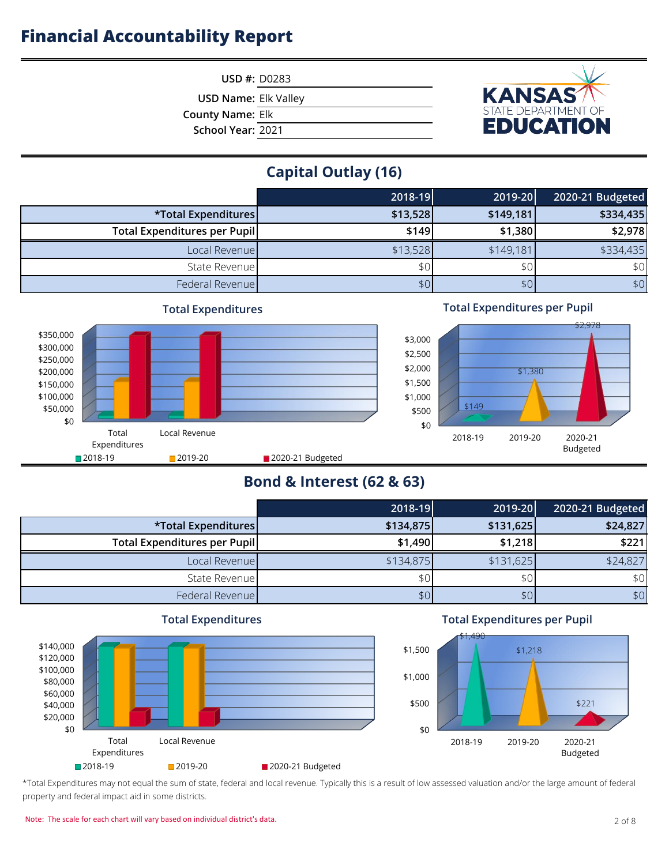

**USD #:** D0283

**USD Name:** Elk Valley

**County Name:** Elk

**School Year:** 2021

## **Capital Outlay (16)**

|                                     | 2018-19          | 2019-20   | 2020-21 Budgeted |
|-------------------------------------|------------------|-----------|------------------|
| *Total Expenditures                 | \$13,528         | \$149,181 | \$334,435        |
| <b>Total Expenditures per Pupil</b> | \$149            | \$1,380   | \$2,978          |
| Local Revenue                       | \$13,528         | \$149,181 | \$334,435        |
| State Revenue                       | \$0              | \$0       | \$0              |
| Federal Revenue                     | \$0 <sub>1</sub> | \$0       | \$0              |



### **Total Expenditures per Pupil**



## **Bond & Interest (62 & 63)**

|                              | 2018-19   | 2019-20   | 2020-21 Budgeted |
|------------------------------|-----------|-----------|------------------|
| *Total Expenditures          | \$134,875 | \$131,625 | \$24,827         |
| Total Expenditures per Pupil | \$1,490   | \$1,218   | \$221            |
| Local Revenue                | \$134,875 | \$131,625 | \$24,827         |
| State Revenue                | \$0       | \$0       | \$0              |
| Federal Revenue              | \$0       | \$0       | \$0              |



**Total Expenditures**

### **Total Expenditures per Pupil**



\*Total Expenditures may not equal the sum of state, federal and local revenue. Typically this is a result of low assessed valuation and/or the large amount of federal property and federal impact aid in some districts.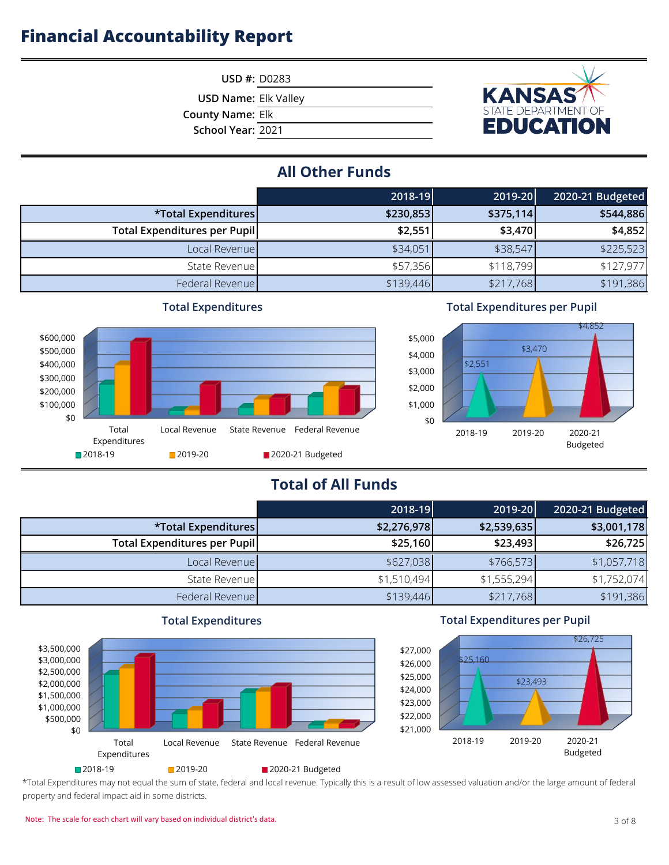

**USD Name:** Elk Valley

**County Name:** Elk

**School Year:** 2021



## **All Other Funds**

|                              | 2018-19   | 2019-20   | 2020-21 Budgeted |
|------------------------------|-----------|-----------|------------------|
| *Total Expenditures          | \$230,853 | \$375,114 | \$544,886        |
| Total Expenditures per Pupil | \$2,551   | \$3,470   | \$4,852          |
| Local Revenue                | \$34,051  | \$38,547  | \$225,523        |
| State Revenue                | \$57,356  | \$118,799 | \$127,977        |
| Federal Revenue              | \$139,446 | \$217,768 | \$191,386        |



### **Total Expenditures per Pupil**



## **Total of All Funds**

|                              | 2018-19     | 2019-20     | 2020-21 Budgeted |
|------------------------------|-------------|-------------|------------------|
| *Total Expenditures          | \$2,276,978 | \$2,539,635 | \$3,001,178      |
| Total Expenditures per Pupil | \$25,160    | \$23,493    | \$26,725         |
| Local Revenue                | \$627,038   | \$766,573   | \$1,057,718      |
| State Revenue                | \$1,510,494 | \$1,555,294 | \$1,752,074      |
| Federal Revenue              | \$139,446   | \$217,768   | \$191,386        |



### **Total Expenditures per Pupil**



\*Total Expenditures may not equal the sum of state, federal and local revenue. Typically this is a result of low assessed valuation and/or the large amount of federal property and federal impact aid in some districts.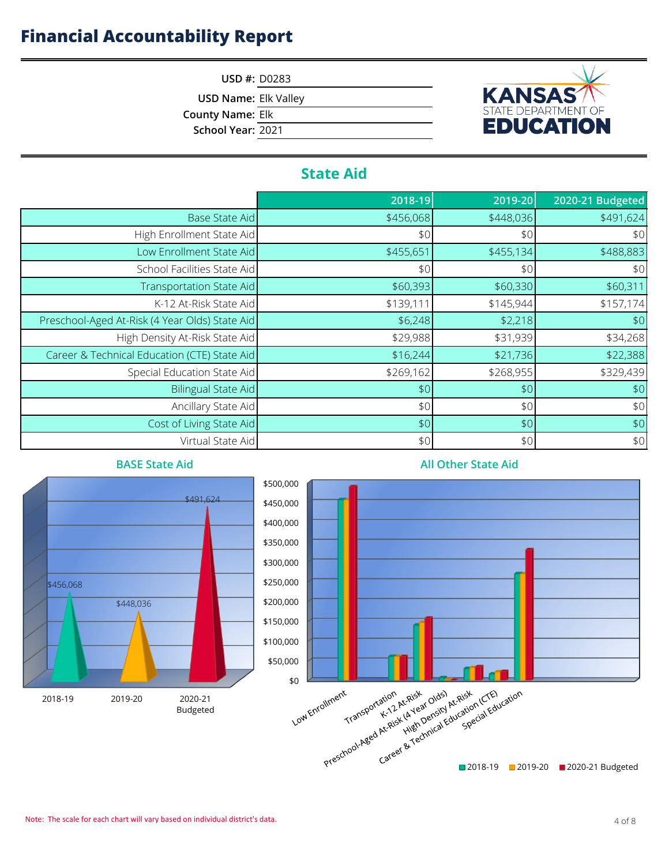**USD #:** D0283

**USD Name:** Elk Valley

**County Name:** Elk

**School Year:** 2021



## **State Aid**

|                                                | 2018-19   | 2019-20   | 2020-21 Budgeted |
|------------------------------------------------|-----------|-----------|------------------|
| <b>Base State Aid</b>                          | \$456,068 | \$448,036 | \$491,624        |
| High Enrollment State Aid                      | \$0       | \$0       | \$0              |
| Low Enrollment State Aid                       | \$455,651 | \$455,134 | \$488,883        |
| School Facilities State Aid                    | \$0       | \$0       | \$0              |
| Transportation State Aid                       | \$60,393  | \$60,330  | \$60,311         |
| K-12 At-Risk State Aid                         | \$139,111 | \$145,944 | \$157,174        |
| Preschool-Aged At-Risk (4 Year Olds) State Aid | \$6,248   | \$2,218   | \$0              |
| High Density At-Risk State Aid                 | \$29,988  | \$31,939  | \$34,268         |
| Career & Technical Education (CTE) State Aid   | \$16,244  | \$21,736  | \$22,388         |
| Special Education State Aid                    | \$269,162 | \$268,955 | \$329,439        |
| <b>Bilingual State Aid</b>                     | \$0       | \$0       | \$0              |
| Ancillary State Aid                            | \$0       | \$0       | \$0              |
| Cost of Living State Aid                       | \$0       | \$0       | $$0$$            |
| Virtual State Aid                              | \$0       | \$0       | \$0              |



### **All Other State Aid**

#### Note: The scale for each chart will vary based on individual district's data. 4 of 8 and 2 and 3 and 4 of 8 lates are set on individual district's data.

\$448,036

**BASE State Aid**

\$456,068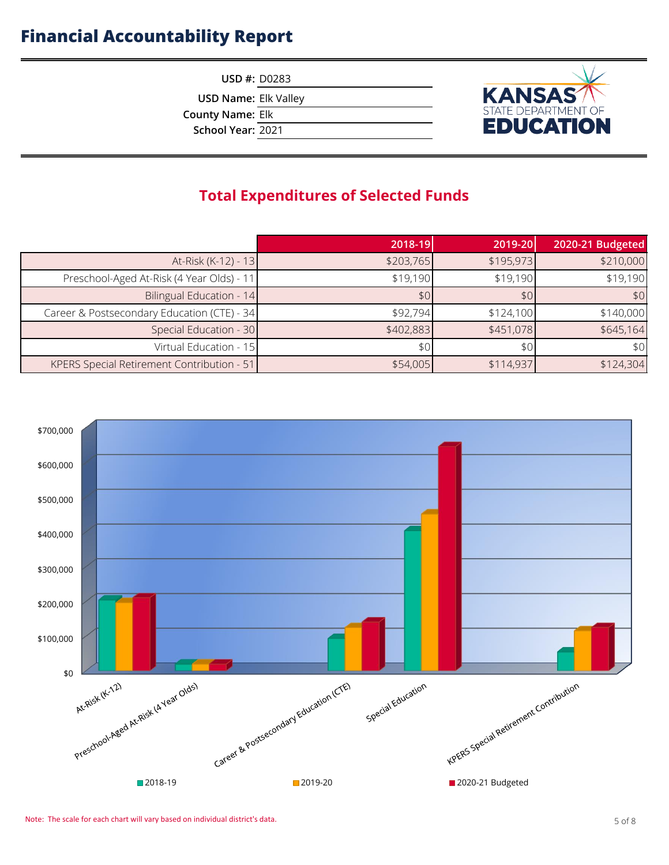**USD #:** D0283

**USD Name:** Elk Valley

**County Name:** Elk

**School Year:** 2021



## **Total Expenditures of Selected Funds**

|                                             | 2018-19   | 2019-20   | 2020-21 Budgeted |
|---------------------------------------------|-----------|-----------|------------------|
| At-Risk (K-12) - 13                         | \$203,765 | \$195,973 | \$210,000        |
| Preschool-Aged At-Risk (4 Year Olds) - 11   | \$19,190  | \$19,190  | \$19,190         |
| Bilingual Education - 14                    | \$0       | \$0       | \$0              |
| Career & Postsecondary Education (CTE) - 34 | \$92,794  | \$124,100 | \$140,000        |
| Special Education - 30                      | \$402,883 | \$451,078 | \$645,164        |
| Virtual Education - 15                      | \$0       | \$0       | \$0              |
| KPERS Special Retirement Contribution - 51  | \$54,005  | \$114,937 | \$124,304        |

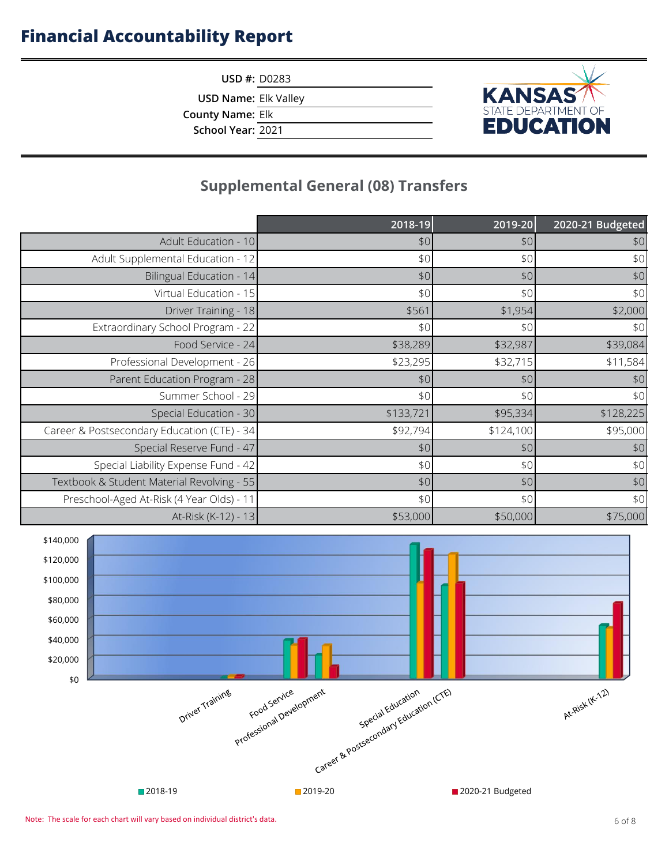**KANSAS** 

**USD #:** D0283

**USD Name:** Elk Valley

**County Name:** Elk

**School Year:** 2021

## **Supplemental General (08) Transfers**

|                                             | 2018-19   | 2019-20   | 2020-21 Budgeted |
|---------------------------------------------|-----------|-----------|------------------|
| Adult Education - 10                        | \$0       | \$0       | \$0              |
| Adult Supplemental Education - 12           | \$0       | \$0       | \$0              |
| Bilingual Education - 14                    | \$0       | \$0       | \$0              |
| Virtual Education - 15                      | \$0       | \$0       | \$0              |
| Driver Training - 18                        | \$561     | \$1,954   | \$2,000          |
| Extraordinary School Program - 22           | \$0       | \$0       | \$0              |
| Food Service - 24                           | \$38,289  | \$32,987  | \$39,084         |
| Professional Development - 26               | \$23,295  | \$32,715  | \$11,584         |
| Parent Education Program - 28               | \$0       | \$0       | \$0              |
| Summer School - 29                          | \$0       | \$0       | \$0              |
| Special Education - 30                      | \$133,721 | \$95,334  | \$128,225        |
| Career & Postsecondary Education (CTE) - 34 | \$92,794  | \$124,100 | \$95,000         |
| Special Reserve Fund - 47                   | \$0       | \$0       | \$0              |
| Special Liability Expense Fund - 42         | \$0       | \$0       | \$0              |
| Textbook & Student Material Revolving - 55  | \$0       | \$0       | $$0$$            |
| Preschool-Aged At-Risk (4 Year Olds) - 11   | \$0       | \$0       | \$0              |
| At-Risk (K-12) - 13                         | \$53,000  | \$50,000  | \$75,000         |

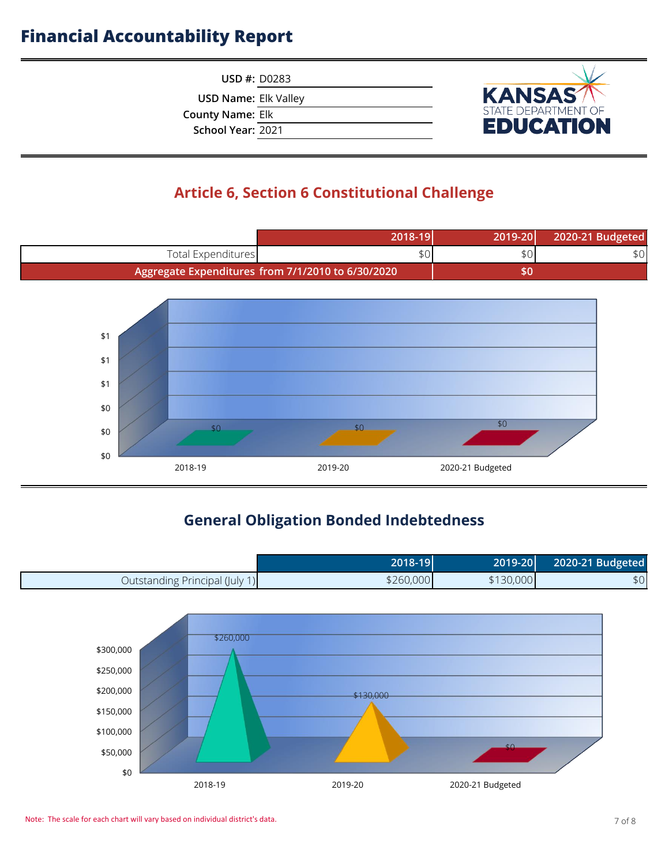**USD #:** D0283

**USD Name:** Elk Valley

**County Name:** Elk

**School Year:** 2021



## **Article 6, Section 6 Constitutional Challenge**



## **General Obligation Bonded Indebtedness**